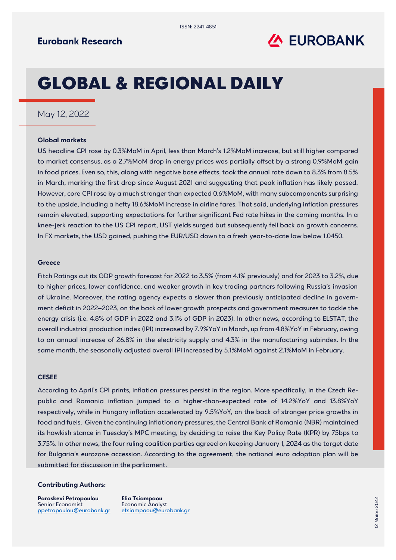

# GLOBAL & REGIONAL DAILY

### May 12, 2022

#### **Global markets**

US headline CPI rose by 0.3%MoM in April, less than March's 1.2%MoM increase, but still higher compared to market consensus, as a 2.7%MoM drop in energy prices was partially offset by a strong 0.9%MoM gain in food prices. Even so, this, along with negative base effects, took the annual rate down to 8.3% from 8.5% in March, marking the first drop since August 2021 and suggesting that peak inflation has likely passed. However, core CPI rose by a much stronger than expected 0.6%MoM, with many subcomponents surprising to the upside, including a hefty 18.6%MoM increase in airline fares. That said, underlying inflation pressures remain elevated, supporting expectations for further significant Fed rate hikes in the coming months. In a knee-jerk reaction to the US CPI report, UST yields surged but subsequently fell back on growth concerns. In FX markets, the USD gained, pushing the EUR/USD down to a fresh year-to-date low below 1.0450.

#### **Greece**

Fitch Ratings cut its GDP growth forecast for 2022 [to 3.5% \(from 4.1%](https://www.fitchratings.com/site/re/10196863) previously) and for 2023 to 3.2%, due to higher prices, lower confidence, and weaker growth in key trading partners following Russia's invasion of Ukraine. Moreover, the rating agency expects a slower than previously anticipated decline in government deficit in 2022–2023, on the back of lower growth prospects and government measures to tackle the energy crisis (i.e. 4.8% of GDP in 2022 and 3.1% of GDP in 2023). In other news, according to ELSTAT, the overall industrial production index (IPI) increased by 7.9%YoY in March, up from 4.8%YoY in February, owing to an annual increase of 26.8% in the electricity supply and 4.3% in the manufacturing subindex. In the same month, the seasonally adjusted overall IPI increased by 5.1%MoM against 2.1%MoM in February.

#### **CESEE**

According to April's CPI prints, inflation pressures persist in the region. More specifically, in the Czech Republic and Romania inflation jumped to a higher-than-expected rate of 14.2%YoY and 13.8%YoY respectively, while in Hungary inflation accelerated by 9.5%YoY, on the back of stronger price growths in food and fuels. Given the continuing inflationary pressures, the Central Bank of Romania (NBR) maintained its hawkish stance in Tuesday's MPC meeting, by deciding to raise the Key Policy Rate (KPR) by 75bps to 3.75%. In other news, the four ruling coalition parties agreed on keeping January 1, 2024 as the target date for Bulgaria's eurozone accession. According to the agreement, the national euro adoption plan will be submitted for discussion in the parliament.

#### **Contributing Authors:**

**Paraskevi Petropoulou** Senior Economist [ppetropoulou@eurobank.gr](mailto:ppetropoulou@eurobank.gr)

**Elia Tsiampaou** Economic Analyst [etsiampaou@eurobank.gr](mailto:etsiampaou@eurobank.gr)